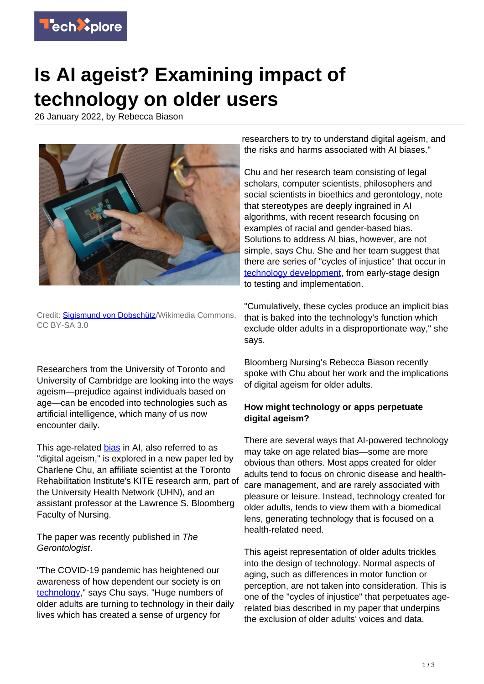

## **Is AI ageist? Examining impact of technology on older users**

26 January 2022, by Rebecca Biason



Credit: [Sigismund von Dobschütz/](https://commons.wikimedia.org/wiki/User:Seeteufel)Wikimedia Commons, CC BY-SA 3.0

Researchers from the University of Toronto and University of Cambridge are looking into the ways ageism—prejudice against individuals based on age—can be encoded into technologies such as artificial intelligence, which many of us now encounter daily.

This age-related [bias](https://techxplore.com/tags/bias/) in AI, also referred to as "digital ageism," is explored in a new paper led by Charlene Chu, an affiliate scientist at the Toronto Rehabilitation Institute's KITE research arm, part of the University Health Network (UHN), and an assistant professor at the Lawrence S. Bloomberg Faculty of Nursing.

The paper was recently published in The Gerontologist.

"The COVID-19 pandemic has heightened our awareness of how dependent our society is on [technology,](https://techxplore.com/tags/technology/)" says Chu says. "Huge numbers of older adults are turning to technology in their daily lives which has created a sense of urgency for

researchers to try to understand digital ageism, and the risks and harms associated with AI biases."

Chu and her research team consisting of legal scholars, computer scientists, philosophers and social scientists in bioethics and gerontology, note that stereotypes are deeply ingrained in AI algorithms, with recent research focusing on examples of racial and gender-based bias. Solutions to address AI bias, however, are not simple, says Chu. She and her team suggest that there are series of "cycles of injustice" that occur in [technology development,](https://techxplore.com/tags/technology+development/) from early-stage design to testing and implementation.

"Cumulatively, these cycles produce an implicit bias that is baked into the technology's function which exclude older adults in a disproportionate way," she says.

Bloomberg Nursing's Rebecca Biason recently spoke with Chu about her work and the implications of digital ageism for older adults.

## **How might technology or apps perpetuate digital ageism?**

There are several ways that AI-powered technology may take on age related bias—some are more obvious than others. Most apps created for older adults tend to focus on chronic disease and healthcare management, and are rarely associated with pleasure or leisure. Instead, technology created for older adults, tends to view them with a biomedical lens, generating technology that is focused on a health-related need.

This ageist representation of older adults trickles into the design of technology. Normal aspects of aging, such as differences in motor function or perception, are not taken into consideration. This is one of the "cycles of injustice" that perpetuates agerelated bias described in my paper that underpins the exclusion of older adults' voices and data.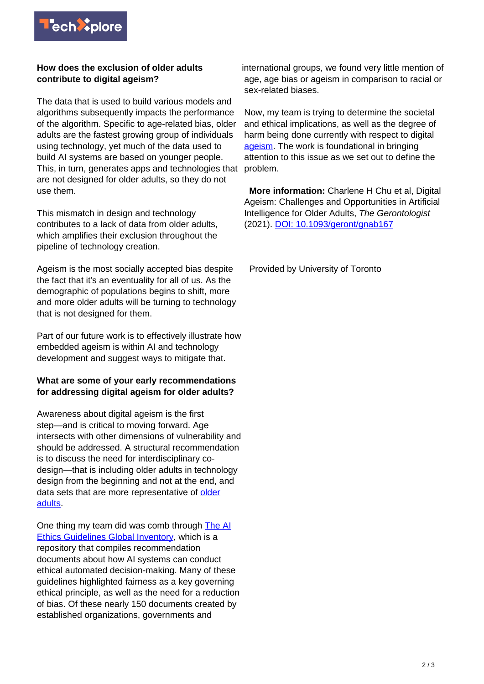

## **How does the exclusion of older adults contribute to digital ageism?**

The data that is used to build various models and algorithms subsequently impacts the performance of the algorithm. Specific to age-related bias, older adults are the fastest growing group of individuals using technology, yet much of the data used to build AI systems are based on younger people. This, in turn, generates apps and technologies that are not designed for older adults, so they do not use them.

This mismatch in design and technology contributes to a lack of data from older adults, which amplifies their exclusion throughout the pipeline of technology creation.

Ageism is the most socially accepted bias despite the fact that it's an eventuality for all of us. As the demographic of populations begins to shift, more and more older adults will be turning to technology that is not designed for them.

Part of our future work is to effectively illustrate how embedded ageism is within AI and technology development and suggest ways to mitigate that.

## **What are some of your early recommendations for addressing digital ageism for older adults?**

Awareness about digital ageism is the first step—and is critical to moving forward. Age intersects with other dimensions of vulnerability and should be addressed. A structural recommendation is to discuss the need for interdisciplinary codesign—that is including older adults in technology design from the beginning and not at the end, and data sets that are more representative of [older](https://techxplore.com/tags/older+adults/) [adults.](https://techxplore.com/tags/older+adults/)

One thing my team did was comb through [The AI](https://algorithmwatch.org/en/ai-ethics-guidelines-global-inventory/) [Ethics Guidelines Global Inventory](https://algorithmwatch.org/en/ai-ethics-guidelines-global-inventory/), which is a repository that compiles recommendation documents about how AI systems can conduct ethical automated decision-making. Many of these guidelines highlighted fairness as a key governing ethical principle, as well as the need for a reduction of bias. Of these nearly 150 documents created by established organizations, governments and

international groups, we found very little mention of age, age bias or ageism in comparison to racial or sex-related biases.

Now, my team is trying to determine the societal and ethical implications, as well as the degree of harm being done currently with respect to digital [ageism.](https://techxplore.com/tags/ageism/) The work is foundational in bringing attention to this issue as we set out to define the problem.

 **More information:** Charlene H Chu et al, Digital Ageism: Challenges and Opportunities in Artificial Intelligence for Older Adults, The Gerontologist (2021). [DOI: 10.1093/geront/gnab167](http://dx.doi.org/10.1093/geront/gnab167)

Provided by University of Toronto